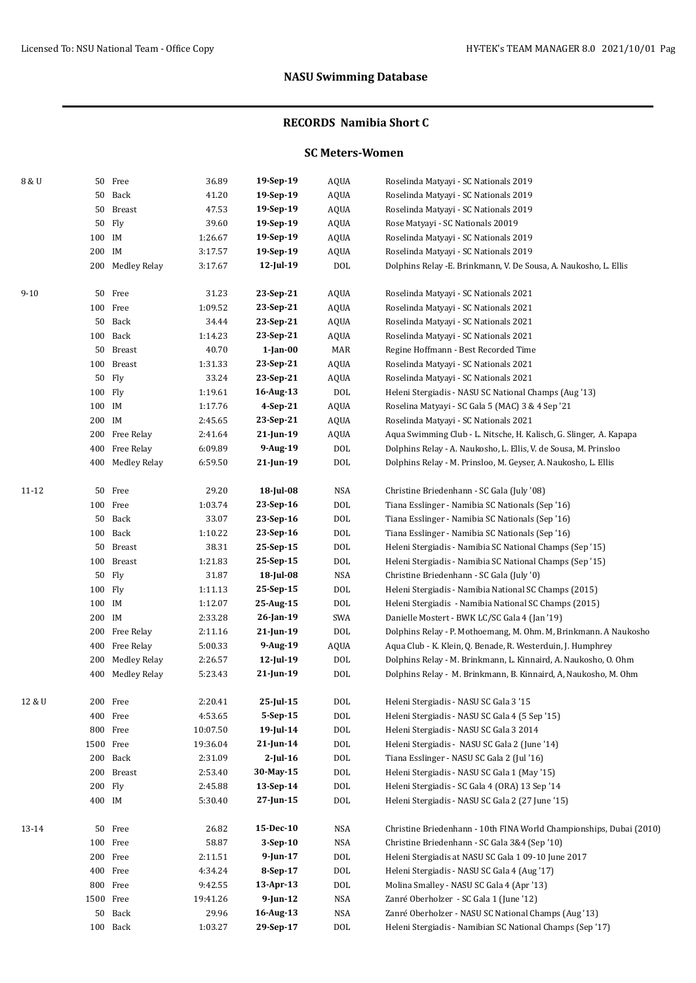### **RECORDS Namibia Short C**

### **SC Meters-Women**

| 8 & U    |           | 50 Free          | 36.89    | 19-Sep-19    | <b>AQUA</b> | Roselinda Matyayi - SC Nationals 2019                               |
|----------|-----------|------------------|----------|--------------|-------------|---------------------------------------------------------------------|
|          |           | 50 Back          | 41.20    | 19-Sep-19    | <b>AQUA</b> | Roselinda Matyayi - SC Nationals 2019                               |
|          |           | 50 Breast        | 47.53    | 19-Sep-19    | <b>AQUA</b> | Roselinda Matyayi - SC Nationals 2019                               |
|          |           | 50 Fly           | 39.60    | 19-Sep-19    | <b>AQUA</b> | Rose Matyayi - SC Nationals 20019                                   |
|          | 100 IM    |                  | 1:26.67  | 19-Sep-19    | <b>AQUA</b> | Roselinda Matyayi - SC Nationals 2019                               |
|          | 200 IM    |                  | 3:17.57  | 19-Sep-19    | <b>AQUA</b> | Roselinda Matyayi - SC Nationals 2019                               |
|          |           | 200 Medley Relay | 3:17.67  | $12$ -Jul-19 | <b>DOL</b>  | Dolphins Relay - E. Brinkmann, V. De Sousa, A. Naukosho, L. Ellis   |
| $9 - 10$ |           | 50 Free          | 31.23    | 23-Sep-21    | <b>AQUA</b> | Roselinda Matyayi - SC Nationals 2021                               |
|          |           | 100 Free         | 1:09.52  | 23-Sep-21    | <b>AQUA</b> | Roselinda Matyayi - SC Nationals 2021                               |
|          |           | 50 Back          | 34.44    | 23-Sep-21    | <b>AQUA</b> | Roselinda Matyayi - SC Nationals 2021                               |
|          |           | 100 Back         | 1:14.23  | 23-Sep-21    | <b>AQUA</b> | Roselinda Matyayi - SC Nationals 2021                               |
|          |           | 50 Breast        | 40.70    | $1$ -Jan-00  | MAR         | Regine Hoffmann - Best Recorded Time                                |
|          |           | 100 Breast       | 1:31.33  | 23-Sep-21    | <b>AQUA</b> | Roselinda Matyayi - SC Nationals 2021                               |
|          |           | 50 Fly           | 33.24    | 23-Sep-21    | <b>AQUA</b> | Roselinda Matyayi - SC Nationals 2021                               |
|          | 100 Fly   |                  | 1:19.61  | 16-Aug-13    | DOL         | Heleni Stergiadis - NASU SC National Champs (Aug '13)               |
|          | 100 IM    |                  | 1:17.76  | 4-Sep-21     | <b>AQUA</b> | Roselina Matyayi - SC Gala 5 (MAC) 3 & 4 Sep '21                    |
|          | 200 IM    |                  | 2:45.65  | 23-Sep-21    | <b>AQUA</b> | Roselinda Matyayi - SC Nationals 2021                               |
|          |           | 200 Free Relay   | 2:41.64  | $21$ -Jun-19 | AQUA        | Aqua Swimming Club - L. Nitsche, H. Kalisch, G. Slinger, A. Kapapa  |
|          |           | 400 Free Relay   | 6:09.89  | 9-Aug-19     | DOL         | Dolphins Relay - A. Naukosho, L. Ellis, V. de Sousa, M. Prinsloo    |
|          |           | 400 Medley Relay | 6:59.50  | 21-Jun-19    | DOL         | Dolphins Relay - M. Prinsloo, M. Geyser, A. Naukosho, L. Ellis      |
| 11-12    |           | 50 Free          | 29.20    | 18-Jul-08    | NSA         | Christine Briedenhann - SC Gala (July '08)                          |
|          |           | 100 Free         | 1:03.74  | 23-Sep-16    | DOL         | Tiana Esslinger - Namibia SC Nationals (Sep '16)                    |
|          |           | 50 Back          | 33.07    | 23-Sep-16    | DOL         | Tiana Esslinger - Namibia SC Nationals (Sep '16)                    |
|          |           | 100 Back         | 1:10.22  | 23-Sep-16    | DOL         | Tiana Esslinger - Namibia SC Nationals (Sep '16)                    |
|          |           | 50 Breast        | 38.31    | 25-Sep-15    | DOL         | Heleni Stergiadis - Namibia SC National Champs (Sep '15)            |
|          |           | 100 Breast       | 1:21.83  | 25-Sep-15    | <b>DOL</b>  | Heleni Stergiadis - Namibia SC National Champs (Sep '15)            |
|          |           | 50 Fly           | 31.87    | 18-Jul-08    | NSA         | Christine Briedenhann - SC Gala (July '0)                           |
|          | 100 Fly   |                  | 1:11.13  | 25-Sep-15    | DOL         | Heleni Stergiadis - Namibia National SC Champs (2015)               |
|          | 100 IM    |                  | 1:12.07  | 25-Aug-15    | DOL         | Heleni Stergiadis - Namibia National SC Champs (2015)               |
|          | 200 IM    |                  | 2:33.28  | $26$ -Jan-19 | SWA         | Danielle Mostert - BWK LC/SC Gala 4 (Jan '19)                       |
|          |           | 200 Free Relay   | 2:11.16  | 21-Jun-19    | DOL         | Dolphins Relay - P. Mothoemang, M. Ohm. M, Brinkmann. A Naukosho    |
|          |           | 400 Free Relay   | 5:00.33  | 9-Aug-19     | AQUA        | Aqua Club - K. Klein, Q. Benade, R. Westerduin, J. Humphrey         |
|          |           | 200 Medley Relay | 2:26.57  | $12$ -Jul-19 | <b>DOL</b>  | Dolphins Relay - M. Brinkmann, L. Kinnaird, A. Naukosho, O. Ohm     |
|          | 400       | Medley Relay     | 5:23.43  | 21-Jun-19    | <b>DOL</b>  | Dolphins Relay - M. Brinkmann, B. Kinnaird, A, Naukosho, M. Ohm     |
| 12 & U   |           | 200 Free         | 2:20.41  | $25$ -Jul-15 | DOL         | Heleni Stergiadis - NASU SC Gala 3'15                               |
|          |           | 400 Free         | 4:53.65  | 5-Sep-15     | <b>DOL</b>  | Heleni Stergiadis - NASU SC Gala 4 (5 Sep '15)                      |
|          |           | 800 Free         | 10:07.50 | $19$ -Jul-14 | DOL         | Heleni Stergiadis - NASU SC Gala 3 2014                             |
|          | 1500 Free |                  | 19:36.04 | 21-Jun-14    | DOL         | Heleni Stergiadis - NASU SC Gala 2 (June '14)                       |
|          |           | 200 Back         | 2:31.09  | $2$ -Jul-16  | DOL         | Tiana Esslinger - NASU SC Gala 2 (Jul '16)                          |
|          |           | 200 Breast       | 2:53.40  | 30-May-15    | DOL         | Heleni Stergiadis - NASU SC Gala 1 (May '15)                        |
|          | 200 Fly   |                  | 2:45.88  | $13-Sep-14$  | DOL         | Heleni Stergiadis - SC Gala 4 (ORA) 13 Sep '14                      |
|          | 400 IM    |                  | 5:30.40  | 27-Jun-15    | DOL         | Heleni Stergiadis - NASU SC Gala 2 (27 June '15)                    |
| 13-14    |           | 50 Free          | 26.82    | 15-Dec-10    | NSA         | Christine Briedenhann - 10th FINA World Championships, Dubai (2010) |
|          |           | 100 Free         | 58.87    | $3-Sep-10$   | NSA         | Christine Briedenhann - SC Gala 3&4 (Sep '10)                       |
|          |           | 200 Free         | 2:11.51  | 9-Jun-17     | DOL         | Heleni Stergiadis at NASU SC Gala 1 09-10 June 2017                 |
|          |           | 400 Free         | 4:34.24  | 8-Sep-17     | DOL         | Heleni Stergiadis - NASU SC Gala 4 (Aug '17)                        |
|          |           | 800 Free         | 9:42.55  | 13-Apr-13    | DOL         | Molina Smalley - NASU SC Gala 4 (Apr '13)                           |
|          | 1500 Free |                  | 19:41.26 | $9$ -Jun-12  | NSA         | Zanré Oberholzer - SC Gala 1 (June '12)                             |
|          |           | 50 Back          | 29.96    | 16-Aug-13    | NSA         | Zanré Oberholzer - NASU SC National Champs (Aug '13)                |
|          |           | 100 Back         | 1:03.27  | 29-Sep-17    | DOL         | Heleni Stergiadis - Namibian SC National Champs (Sep '17)           |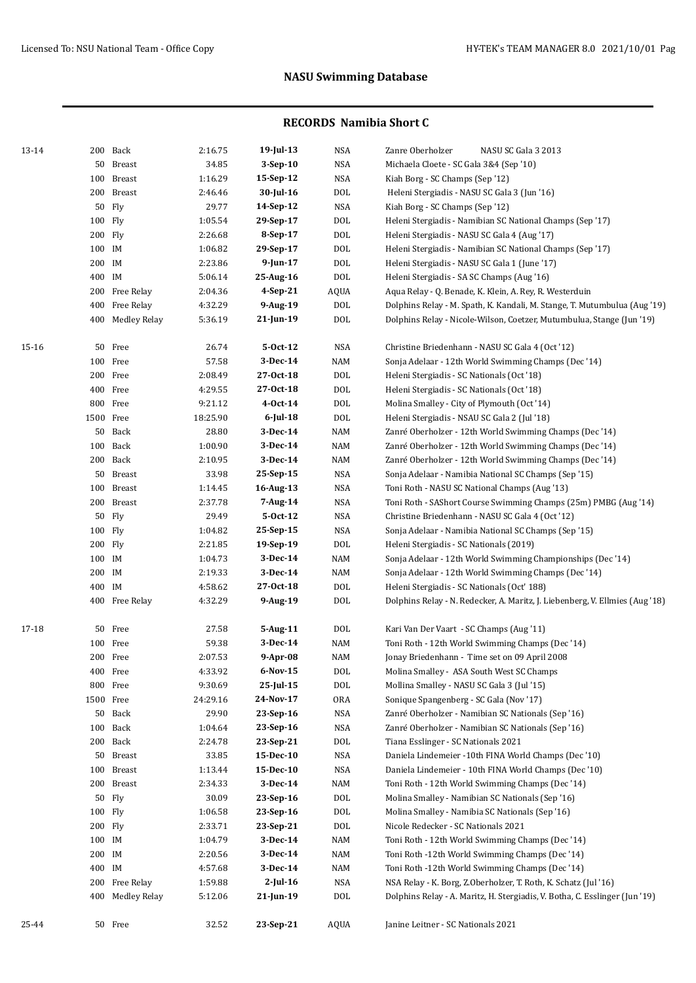| 13-14 |           | 200 Back         | 2:16.75  | $19$ -Jul-13   | <b>NSA</b>  | Zanre Oberholzer<br>NASU SC Gala 3 2013                                      |
|-------|-----------|------------------|----------|----------------|-------------|------------------------------------------------------------------------------|
|       |           | 50 Breast        | 34.85    | $3-Sep-10$     | <b>NSA</b>  | Michaela Cloete - SC Gala 3&4 (Sep '10)                                      |
|       |           | 100 Breast       | 1:16.29  | 15-Sep-12      | <b>NSA</b>  | Kiah Borg - SC Champs (Sep '12)                                              |
|       |           | 200 Breast       | 2:46.46  | 30-Jul-16      | $\rm DOL$   | Heleni Stergiadis - NASU SC Gala 3 (Jun '16)                                 |
|       |           | 50 Fly           | 29.77    | 14-Sep-12      | <b>NSA</b>  | Kiah Borg - SC Champs (Sep '12)                                              |
|       | 100 Fly   |                  | 1:05.54  | 29-Sep-17      | <b>DOL</b>  | Heleni Stergiadis - Namibian SC National Champs (Sep '17)                    |
|       | 200 Fly   |                  | 2:26.68  | 8-Sep-17       | DOL         | Heleni Stergiadis - NASU SC Gala 4 (Aug '17)                                 |
|       | 100 IM    |                  | 1:06.82  | 29-Sep-17      | $\rm DOL$   | Heleni Stergiadis - Namibian SC National Champs (Sep '17)                    |
|       | 200 IM    |                  | 2:23.86  | $9$ -Jun-17    | $\rm DOL$   | Heleni Stergiadis - NASU SC Gala 1 (June '17)                                |
|       | 400 IM    |                  | 5:06.14  | 25-Aug-16      | $\rm DOL$   | Heleni Stergiadis - SA SC Champs (Aug '16)                                   |
|       |           | 200 Free Relay   | 2:04.36  | 4-Sep-21       | <b>AQUA</b> | Aqua Relay - Q. Benade, K. Klein, A. Rey, R. Westerduin                      |
|       | 400       | Free Relay       | 4:32.29  | 9-Aug-19       | <b>DOL</b>  | Dolphins Relay - M. Spath, K. Kandali, M. Stange, T. Mutumbulua (Aug '19)    |
|       |           | 400 Medley Relay | 5:36.19  | $21$ -Jun-19   | DOL         | Dolphins Relay - Nicole-Wilson, Coetzer, Mutumbulua, Stange (Jun '19)        |
| 15-16 |           | 50 Free          | 26.74    | $5-0ct-12$     | <b>NSA</b>  | Christine Briedenhann - NASU SC Gala 4 (Oct '12)                             |
|       |           | 100 Free         | 57.58    | 3-Dec-14       | NAM         | Sonja Adelaar - 12th World Swimming Champs (Dec '14)                         |
|       |           | 200 Free         | 2:08.49  | 27-0ct-18      | DOL         | Heleni Stergiadis - SC Nationals (Oct '18)                                   |
|       |           | 400 Free         | 4:29.55  | 27-0ct-18      | <b>DOL</b>  | Heleni Stergiadis - SC Nationals (Oct '18)                                   |
|       |           | 800 Free         | 9:21.12  | $4 - Oct - 14$ | DOL         | Molina Smalley - City of Plymouth (Oct '14)                                  |
|       | 1500 Free |                  | 18:25.90 | $6$ -Jul-18    | <b>DOL</b>  | Heleni Stergiadis - NSAU SC Gala 2 (Jul '18)                                 |
|       |           | 50 Back          | 28.80    | 3-Dec-14       | NAM         | Zanré Oberholzer - 12th World Swimming Champs (Dec '14)                      |
|       |           | 100 Back         | 1:00.90  | 3-Dec-14       | NAM         | Zanré Oberholzer - 12th World Swimming Champs (Dec '14)                      |
|       |           | 200 Back         | 2:10.95  | 3-Dec-14       | NAM         | Zanré Oberholzer - 12th World Swimming Champs (Dec '14)                      |
|       |           | 50 Breast        | 33.98    | 25-Sep-15      | NSA         | Sonja Adelaar - Namibia National SC Champs (Sep '15)                         |
|       |           | 100 Breast       | 1:14.45  | 16-Aug-13      | <b>NSA</b>  | Toni Roth - NASU SC National Champs (Aug '13)                                |
|       |           | 200 Breast       | 2:37.78  | 7-Aug-14       | <b>NSA</b>  | Toni Roth - SAShort Course Swimming Champs (25m) PMBG (Aug '14)              |
|       |           | 50 Fly           | 29.49    | $5-0ct-12$     | NSA         | Christine Briedenhann - NASU SC Gala 4 (Oct '12)                             |
|       | 100 Fly   |                  | 1:04.82  | 25-Sep-15      | NSA         | Sonja Adelaar - Namibia National SC Champs (Sep '15)                         |
|       | 200 Fly   |                  | 2:21.85  | 19-Sep-19      | <b>DOL</b>  | Heleni Stergiadis - SC Nationals (2019)                                      |
|       | 100 IM    |                  | 1:04.73  | 3-Dec-14       | NAM         | Sonja Adelaar - 12th World Swimming Championships (Dec '14)                  |
|       | 200 IM    |                  | 2:19.33  | 3-Dec-14       | NAM         | Sonja Adelaar - 12th World Swimming Champs (Dec '14)                         |
|       | 400 IM    |                  | 4:58.62  | 27-0ct-18      | <b>DOL</b>  | Heleni Stergiadis - SC Nationals (Oct' 188)                                  |
|       |           | 400 Free Relay   | 4:32.29  | $9-Aug-19$     | <b>DOL</b>  | Dolphins Relay - N. Redecker, A. Maritz, J. Liebenberg, V. Ellmies (Aug '18) |
| 17-18 |           | 50 Free          | 27.58    | 5-Aug-11       | DOL         | Kari Van Der Vaart - SC Champs (Aug '11)                                     |
|       |           | 100 Free         | 59.38    | 3-Dec-14       | NAM         | Toni Roth - 12th World Swimming Champs (Dec '14)                             |
|       |           | 200 Free         | 2:07.53  | 9-Apr-08       | NAM         | Jonay Briedenhann - Time set on 09 April 2008                                |
|       |           | 400 Free         | 4:33.92  | 6-Nov-15       | DOL         | Molina Smalley - ASA South West SC Champs                                    |
|       |           | 800 Free         | 9:30.69  | 25-Jul-15      | DOL         | Mollina Smalley - NASU SC Gala 3 (Jul '15)                                   |
|       | 1500 Free |                  | 24:29.16 | 24-Nov-17      | ORA         | Sonique Spangenberg - SC Gala (Nov '17)                                      |
|       |           | 50 Back          | 29.90    | 23-Sep-16      | NSA         | Zanré Oberholzer - Namibian SC Nationals (Sep '16)                           |
|       |           | 100 Back         | 1:04.64  | 23-Sep-16      | NSA         | Zanré Oberholzer - Namibian SC Nationals (Sep '16)                           |
|       |           | 200 Back         | 2:24.78  | 23-Sep-21      | DOL         | Tiana Esslinger - SC Nationals 2021                                          |
|       |           | 50 Breast        | 33.85    | 15-Dec-10      | NSA         | Daniela Lindemeier -10th FINA World Champs (Dec '10)                         |
|       |           | 100 Breast       | 1:13.44  | 15-Dec-10      | NSA         | Daniela Lindemeier - 10th FINA World Champs (Dec '10)                        |
|       |           | 200 Breast       | 2:34.33  | 3-Dec-14       | NAM         | Toni Roth - 12th World Swimming Champs (Dec '14)                             |
|       |           | 50 Fly           | 30.09    | 23-Sep-16      | DOL         | Molina Smalley - Namibian SC Nationals (Sep '16)                             |
|       | 100 Fly   |                  | 1:06.58  | 23-Sep-16      | DOL         | Molina Smalley - Namibia SC Nationals (Sep '16)                              |
|       | 200 Fly   |                  | 2:33.71  | 23-Sep-21      | DOL         | Nicole Redecker - SC Nationals 2021                                          |
|       | 100 IM    |                  | 1:04.79  | 3-Dec-14       | NAM         | Toni Roth - 12th World Swimming Champs (Dec '14)                             |
|       | 200 IM    |                  | 2:20.56  | 3-Dec-14       | NAM         | Toni Roth -12th World Swimming Champs (Dec '14)                              |
|       | 400 IM    |                  | 4:57.68  | 3-Dec-14       | NAM         | Toni Roth -12th World Swimming Champs (Dec '14)                              |
|       |           | 200 Free Relay   | 1:59.88  | 2-Jul-16       | NSA         | NSA Relay - K. Borg, Z.Oberholzer, T. Roth, K. Schatz (Jul '16)              |
|       | 400       | Medley Relay     | 5:12.06  | 21-Jun-19      | DOL         | Dolphins Relay - A. Maritz, H. Stergiadis, V. Botha, C. Esslinger (Jun '19)  |
| 25-44 |           | 50 Free          | 32.52    | 23-Sep-21      | AQUA        | Janine Leitner - SC Nationals 2021                                           |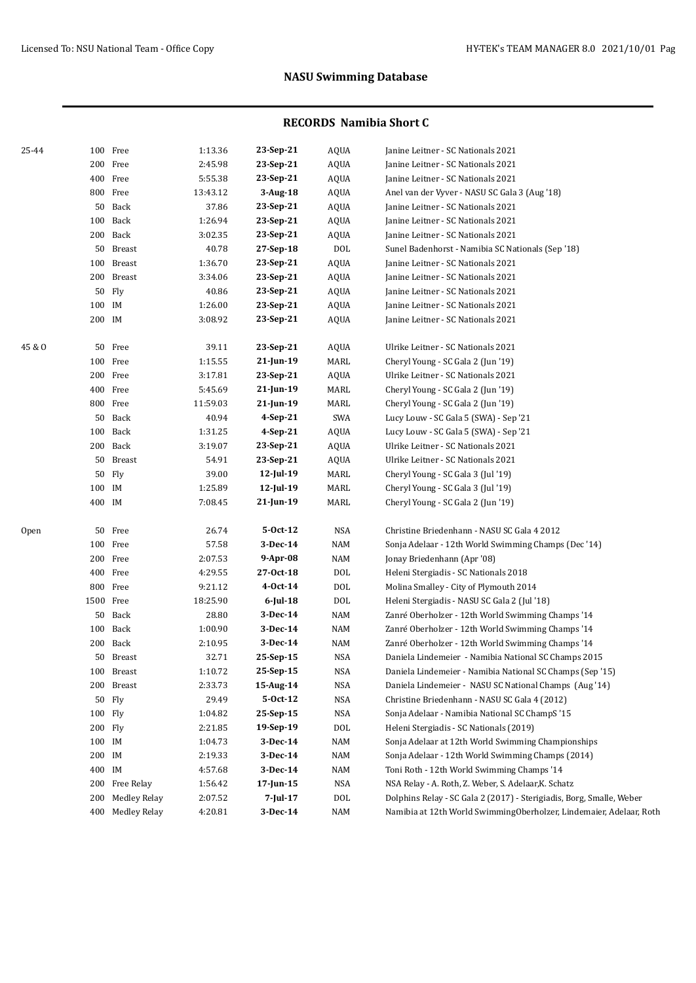| 25-44  |           | 100 Free            | 1:13.36  | 23-Sep-21       | AQUA       | Janine Leitner - SC Nationals 2021                                   |
|--------|-----------|---------------------|----------|-----------------|------------|----------------------------------------------------------------------|
|        |           | 200 Free            | 2:45.98  | 23-Sep-21       | AQUA       | Janine Leitner - SC Nationals 2021                                   |
|        |           | 400 Free            | 5:55.38  | 23-Sep-21       | AQUA       | Janine Leitner - SC Nationals 2021                                   |
|        |           | 800 Free            | 13:43.12 | $3-Aug-18$      | AQUA       | Anel van der Vyver - NASU SC Gala 3 (Aug '18)                        |
|        |           | 50 Back             | 37.86    | 23-Sep-21       | AQUA       | Janine Leitner - SC Nationals 2021                                   |
|        | 100       | Back                | 1:26.94  | 23-Sep-21       | AQUA       | Janine Leitner - SC Nationals 2021                                   |
|        |           | 200 Back            | 3:02.35  | 23-Sep-21       | AQUA       | Janine Leitner - SC Nationals 2021                                   |
|        |           | 50 Breast           | 40.78    | 27-Sep-18       | <b>DOL</b> | Sunel Badenhorst - Namibia SC Nationals (Sep '18)                    |
|        |           | 100 Breast          | 1:36.70  | 23-Sep-21       | AQUA       | Janine Leitner - SC Nationals 2021                                   |
|        |           | 200 Breast          | 3:34.06  | 23-Sep-21       | AQUA       | Janine Leitner - SC Nationals 2021                                   |
|        | 50        | Fly                 | 40.86    | 23-Sep-21       | AQUA       | Janine Leitner - SC Nationals 2021                                   |
|        | 100 IM    |                     | 1:26.00  | 23-Sep-21       | AQUA       | Janine Leitner - SC Nationals 2021                                   |
|        | 200 IM    |                     | 3:08.92  | 23-Sep-21       | AQUA       | Janine Leitner - SC Nationals 2021                                   |
|        |           |                     |          |                 |            |                                                                      |
| 45 & O |           | 50 Free             | 39.11    | 23-Sep-21       | AQUA       | Ulrike Leitner - SC Nationals 2021                                   |
|        |           | 100 Free            | 1:15.55  | 21-Jun-19       | MARL       | Cheryl Young - SC Gala 2 (Jun '19)                                   |
|        |           | 200 Free            | 3:17.81  | 23-Sep-21       | AQUA       | Ulrike Leitner - SC Nationals 2021                                   |
|        |           | 400 Free            | 5:45.69  | $21$ -Jun-19    | MARL       | Cheryl Young - SC Gala 2 (Jun '19)                                   |
|        |           | 800 Free            | 11:59.03 | 21-Jun-19       | MARL       | Cheryl Young - SC Gala 2 (Jun '19)                                   |
|        | 50        | Back                | 40.94    | $4-Sep-21$      | SWA        | Lucy Louw - SC Gala 5 (SWA) - Sep '21                                |
|        |           | 100 Back            | 1:31.25  | $4-Sep-21$      | AQUA       | Lucy Louw - SC Gala 5 (SWA) - Sep '21                                |
|        |           | 200 Back            | 3:19.07  | 23-Sep-21       | AQUA       | Ulrike Leitner - SC Nationals 2021                                   |
|        | 50        | <b>Breast</b>       | 54.91    | 23-Sep-21       | AQUA       | Ulrike Leitner - SC Nationals 2021                                   |
|        | 50        | Fly                 | 39.00    | 12-Jul-19       | MARL       | Cheryl Young - SC Gala 3 (Jul '19)                                   |
|        | 100 IM    |                     | 1:25.89  | 12-Jul-19       | MARL       | Cheryl Young - SC Gala 3 (Jul '19)                                   |
|        | 400 IM    |                     | 7:08.45  | 21-Jun-19       | MARL       | Cheryl Young - SC Gala 2 (Jun '19)                                   |
| Open   |           | 50 Free             | 26.74    | 5-Oct-12        | NSA        | Christine Briedenhann - NASU SC Gala 4 2012                          |
|        |           | 100 Free            | 57.58    | 3-Dec-14        | NAM        | Sonja Adelaar - 12th World Swimming Champs (Dec '14)                 |
|        |           | 200 Free            | 2:07.53  | 9-Apr-08        | NAM        | Jonay Briedenhann (Apr '08)                                          |
|        |           | 400 Free            | 4:29.55  | 27-0ct-18       | <b>DOL</b> | Heleni Stergiadis - SC Nationals 2018                                |
|        |           | 800 Free            | 9:21.12  | 4-0ct-14        | <b>DOL</b> | Molina Smalley - City of Plymouth 2014                               |
|        | 1500 Free |                     | 18:25.90 | 6-Jul-18        | DOL        | Heleni Stergiadis - NASU SC Gala 2 (Jul '18)                         |
|        |           | 50 Back             | 28.80    | 3-Dec-14        | NAM        | Zanré Oberholzer - 12th World Swimming Champs '14                    |
|        |           | 100 Back            | 1:00.90  | 3-Dec-14        | NAM        | Zanré Oberholzer - 12th World Swimming Champs '14                    |
|        |           | 200 Back            | 2:10.95  | 3-Dec-14        | NAM        | Zanré Oberholzer - 12th World Swimming Champs '14                    |
|        |           | 50 Breast           | 32.71    | 25-Sep-15       | <b>NSA</b> | Daniela Lindemeier - Namibia National SC Champs 2015                 |
|        |           | 100 Breast          | 1:10.72  | 25-Sep-15       | NSA        | Daniela Lindemeier - Namibia National SC Champs (Sep '15)            |
|        | 200       | Breast              | 2:33.73  | 15-Aug-14       | NSA        | Daniela Lindemeier - NASU SC National Champs (Aug '14)               |
|        | 50        | Fly                 | 29.49    | 5-Oct-12        | NSA        | Christine Briedenhann - NASU SC Gala 4 (2012)                        |
|        | 100 Fly   |                     | 1:04.82  | 25-Sep-15       | NSA        | Sonja Adelaar - Namibia National SC ChampS '15                       |
|        | 200 Fly   |                     | 2:21.85  | 19-Sep-19       | <b>DOL</b> | Heleni Stergiadis - SC Nationals (2019)                              |
|        | 100 IM    |                     | 1:04.73  | $3-Dec-14$      | NAM        | Sonja Adelaar at 12th World Swimming Championships                   |
|        | 200       | IM                  | 2:19.33  | $3-Dec-14$      | NAM        | Sonja Adelaar - 12th World Swimming Champs (2014)                    |
|        | 400       | IM                  | 4:57.68  | $3-Dec-14$      | NAM        | Toni Roth - 12th World Swimming Champs '14                           |
|        | 200       | Free Relay          | 1:56.42  | $17$ -Jun- $15$ | <b>NSA</b> | NSA Relay - A. Roth, Z. Weber, S. Adelaar, K. Schatz                 |
|        | 200       | <b>Medley Relay</b> | 2:07.52  | 7-Jul-17        | DOL        | Dolphins Relay - SC Gala 2 (2017) - Sterigiadis, Borg, Smalle, Weber |
|        | 400       | <b>Medley Relay</b> | 4:20.81  | 3-Dec-14        | NAM        | Namibia at 12th World SwimmingOberholzer, Lindemaier, Adelaar, Roth  |
|        |           |                     |          |                 |            |                                                                      |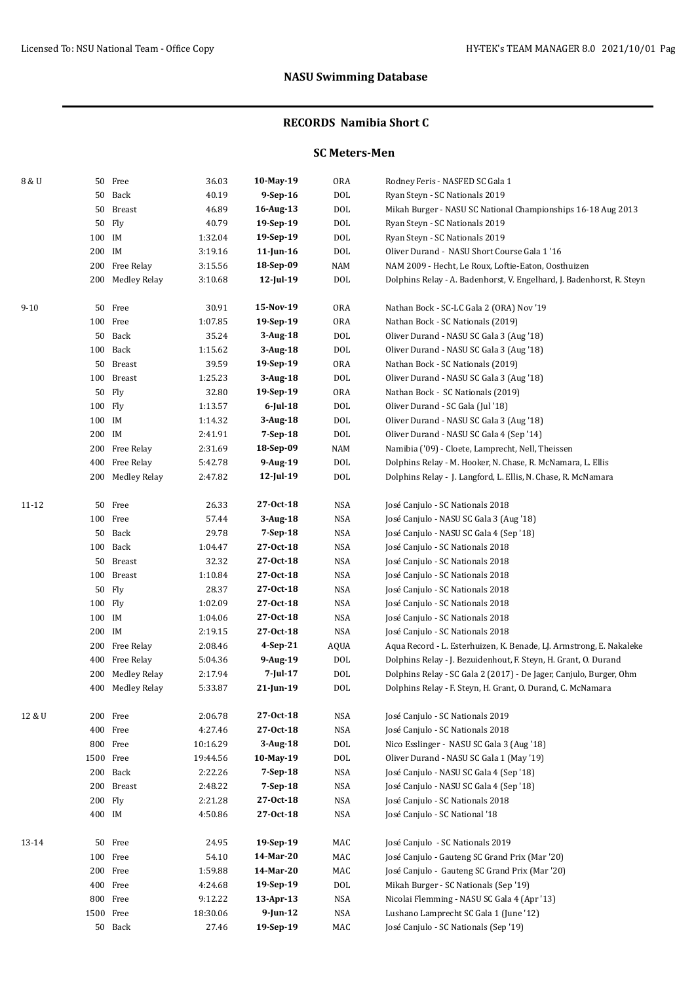### **RECORDS Namibia Short C**

### **SC Meters-Men**

| 8 & U    |           | 50 Free          | 36.03    | 10-May-19    | 0RA         | Rodney Feris - NASFED SC Gala 1                                       |
|----------|-----------|------------------|----------|--------------|-------------|-----------------------------------------------------------------------|
|          |           | 50 Back          | 40.19    | $9-Sep-16$   | <b>DOL</b>  | Ryan Steyn - SC Nationals 2019                                        |
|          |           | 50 Breast        | 46.89    | 16-Aug-13    | DOL         | Mikah Burger - NASU SC National Championships 16-18 Aug 2013          |
|          |           | 50 Fly           | 40.79    | 19-Sep-19    | DOL         | Ryan Steyn - SC Nationals 2019                                        |
|          | 100 IM    |                  | 1:32.04  | 19-Sep-19    | DOL         | Ryan Steyn - SC Nationals 2019                                        |
|          | 200 IM    |                  | 3:19.16  | 11-Jun-16    | DOL         | Oliver Durand - NASU Short Course Gala 1'16                           |
|          |           | 200 Free Relay   | 3:15.56  | 18-Sep-09    | NAM         | NAM 2009 - Hecht, Le Roux, Loftie-Eaton, Oosthuizen                   |
|          |           | 200 Medley Relay | 3:10.68  | $12$ -Jul-19 | <b>DOL</b>  | Dolphins Relay - A. Badenhorst, V. Engelhard, J. Badenhorst, R. Steyn |
|          |           |                  |          |              |             |                                                                       |
| $9 - 10$ |           | 50 Free          | 30.91    | 15-Nov-19    | 0RA         | Nathan Bock - SC-LC Gala 2 (ORA) Nov '19                              |
|          |           | 100 Free         | 1:07.85  | 19-Sep-19    | <b>ORA</b>  | Nathan Bock - SC Nationals (2019)                                     |
|          |           | 50 Back          | 35.24    | 3-Aug-18     | DOL         | Oliver Durand - NASU SC Gala 3 (Aug '18)                              |
|          |           | 100 Back         | 1:15.62  | 3-Aug-18     | <b>DOL</b>  | Oliver Durand - NASU SC Gala 3 (Aug '18)                              |
|          |           | 50 Breast        | 39.59    | 19-Sep-19    | <b>ORA</b>  | Nathan Bock - SC Nationals (2019)                                     |
|          |           | 100 Breast       | 1:25.23  | 3-Aug-18     | <b>DOL</b>  | Oliver Durand - NASU SC Gala 3 (Aug '18)                              |
|          |           | 50 Fly           | 32.80    | 19-Sep-19    | <b>ORA</b>  | Nathan Bock - SC Nationals (2019)                                     |
|          | 100 Fly   |                  | 1:13.57  | $6$ -Jul-18  | <b>DOL</b>  | Oliver Durand - SC Gala (Jul '18)                                     |
|          | 100 IM    |                  | 1:14.32  | 3-Aug-18     | <b>DOL</b>  | Oliver Durand - NASU SC Gala 3 (Aug '18)                              |
|          | 200 IM    |                  | 2:41.91  | $7-Sep-18$   | <b>DOL</b>  | Oliver Durand - NASU SC Gala 4 (Sep '14)                              |
|          |           | 200 Free Relay   | 2:31.69  | 18-Sep-09    | NAM         | Namibia ('09) - Cloete, Lamprecht, Nell, Theissen                     |
|          |           | 400 Free Relay   | 5:42.78  | 9-Aug-19     | <b>DOL</b>  | Dolphins Relay - M. Hooker, N. Chase, R. McNamara, L. Ellis           |
|          |           | 200 Medley Relay | 2:47.82  | 12-Jul-19    | <b>DOL</b>  | Dolphins Relay - J. Langford, L. Ellis, N. Chase, R. McNamara         |
| 11-12    |           | 50 Free          | 26.33    | 27-0ct-18    | NSA         | José Canjulo - SC Nationals 2018                                      |
|          |           | 100 Free         | 57.44    | 3-Aug-18     | <b>NSA</b>  | José Canjulo - NASU SC Gala 3 (Aug '18)                               |
|          |           | 50 Back          | 29.78    | $7-Sep-18$   | <b>NSA</b>  | José Canjulo - NASU SC Gala 4 (Sep '18)                               |
|          |           | 100 Back         | 1:04.47  | 27-0ct-18    | NSA         | José Canjulo - SC Nationals 2018                                      |
|          |           | 50 Breast        | 32.32    | 27-0ct-18    | NSA         | José Canjulo - SC Nationals 2018                                      |
|          |           | 100 Breast       | 1:10.84  | 27-0ct-18    | NSA         | José Canjulo - SC Nationals 2018                                      |
|          |           | 50 Fly           | 28.37    | 27-0ct-18    | NSA         | José Canjulo - SC Nationals 2018                                      |
|          | 100 Fly   |                  | 1:02.09  | 27-0ct-18    | NSA         | José Canjulo - SC Nationals 2018                                      |
|          | 100 IM    |                  | 1:04.06  | 27-0ct-18    | NSA         | José Canjulo - SC Nationals 2018                                      |
|          | 200 IM    |                  | 2:19.15  | 27-0ct-18    | NSA         | José Canjulo - SC Nationals 2018                                      |
|          |           | 200 Free Relay   | 2:08.46  | $4-Sep-21$   | <b>AQUA</b> | Aqua Record - L. Esterhuizen, K. Benade, LJ. Armstrong, E. Nakaleke   |
|          |           | 400 Free Relay   | 5:04.36  | 9-Aug-19     | DOL         | Dolphins Relay - J. Bezuidenhout, F. Steyn, H. Grant, O. Durand       |
|          | 200       | Medley Relay     | 2:17.94  | $7$ -Jul-17  | DOL         | Dolphins Relay - SC Gala 2 (2017) - De Jager, Canjulo, Burger, Ohm    |
|          |           | 400 Medley Relay | 5:33.87  | 21-Jun-19    | DOL         | Dolphins Relay - F. Steyn, H. Grant, O. Durand, C. McNamara           |
|          |           |                  |          |              |             |                                                                       |
| 12 & U   |           | 200 Free         | 2:06.78  | 27-0ct-18    | NSA         | José Canjulo - SC Nationals 2019                                      |
|          |           | 400 Free         | 4:27.46  | 27-0ct-18    | NSA         | José Canjulo - SC Nationals 2018                                      |
|          |           | 800 Free         | 10:16.29 | 3-Aug-18     | DOL         | Nico Esslinger - NASU SC Gala 3 (Aug '18)                             |
|          | 1500 Free |                  | 19:44.56 | 10-May-19    | DOL         | Oliver Durand - NASU SC Gala 1 (May '19)                              |
|          |           | 200 Back         | 2:22.26  | $7-Sep-18$   | NSA         | José Canjulo - NASU SC Gala 4 (Sep '18)                               |
|          | 200       | Breast           | 2:48.22  | $7-Sep-18$   | NSA         | José Canjulo - NASU SC Gala 4 (Sep '18)                               |
|          | 200 Fly   |                  | 2:21.28  | 27-0ct-18    | NSA         | José Canjulo - SC Nationals 2018                                      |
|          | 400 IM    |                  | 4:50.86  | 27-0ct-18    | NSA         | José Canjulo - SC National '18                                        |
| 13-14    |           | 50 Free          | 24.95    | 19-Sep-19    | MAC         | José Canjulo - SC Nationals 2019                                      |
|          |           | 100 Free         | 54.10    | 14-Mar-20    | MAC         | José Canjulo - Gauteng SC Grand Prix (Mar '20)                        |
|          |           | 200 Free         | 1:59.88  | 14-Mar-20    | MAC         | José Canjulo - Gauteng SC Grand Prix (Mar '20)                        |
|          |           | 400 Free         | 4:24.68  | 19-Sep-19    | DOL         | Mikah Burger - SC Nationals (Sep '19)                                 |
|          |           | 800 Free         | 9:12.22  | $13$ -Apr-13 | NSA         | Nicolai Flemming - NASU SC Gala 4 (Apr '13)                           |
|          | 1500 Free |                  | 18:30.06 | $9$ -Jun-12  | <b>NSA</b>  | Lushano Lamprecht SC Gala 1 (June '12)                                |
|          |           | 50 Back          | 27.46    | 19-Sep-19    | MAC         | José Canjulo - SC Nationals (Sep '19)                                 |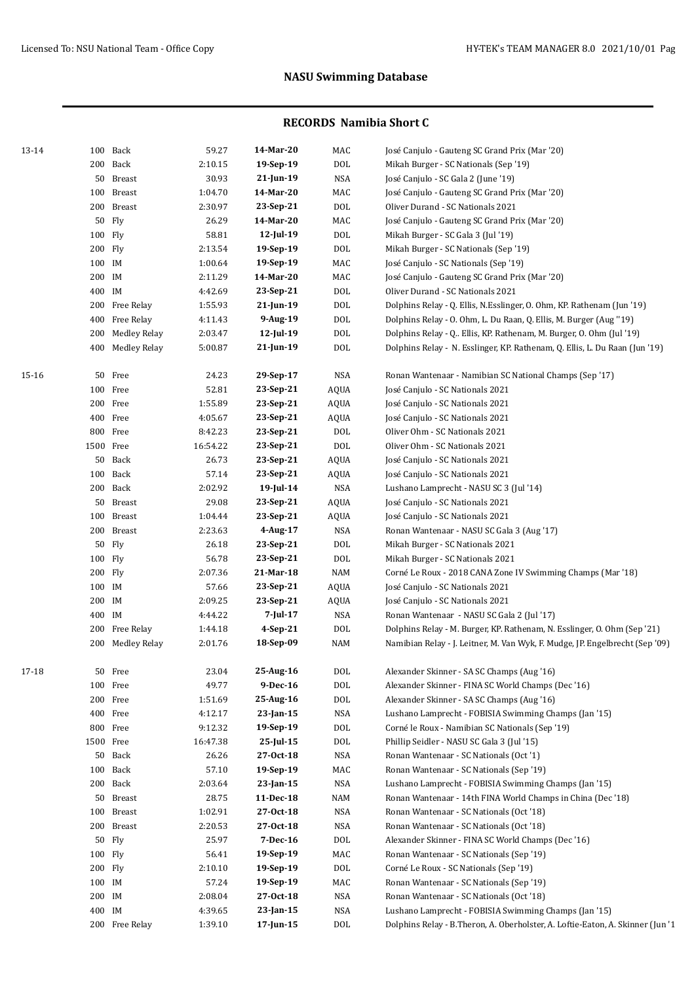| 13-14 |         | 100 Back       | 59.27    | 14-Mar-20    | MAC         | José Canjulo - Gauteng SC Grand Prix (Mar '20)                                 |
|-------|---------|----------------|----------|--------------|-------------|--------------------------------------------------------------------------------|
|       |         | 200 Back       | 2:10.15  | 19-Sep-19    | <b>DOL</b>  | Mikah Burger - SC Nationals (Sep '19)                                          |
|       |         | 50 Breast      | 30.93    | 21-Jun-19    | <b>NSA</b>  | José Canjulo - SC Gala 2 (June '19)                                            |
|       |         | 100 Breast     | 1:04.70  | 14-Mar-20    | MAC         | José Canjulo - Gauteng SC Grand Prix (Mar '20)                                 |
|       |         | 200 Breast     | 2:30.97  | 23-Sep-21    | <b>DOL</b>  | Oliver Durand - SC Nationals 2021                                              |
|       |         | 50 Fly         | 26.29    | 14-Mar-20    | MAC         | José Canjulo - Gauteng SC Grand Prix (Mar '20)                                 |
|       | 100 Fly |                | 58.81    | 12-Jul-19    | <b>DOL</b>  | Mikah Burger - SC Gala 3 (Jul '19)                                             |
|       | 200 Fly |                | 2:13.54  | 19-Sep-19    | <b>DOL</b>  | Mikah Burger - SC Nationals (Sep '19)                                          |
|       | 100 IM  |                | 1:00.64  | 19-Sep-19    | MAC         | José Canjulo - SC Nationals (Sep '19)                                          |
|       | 200 IM  |                | 2:11.29  | 14-Mar-20    | MAC         | José Canjulo - Gauteng SC Grand Prix (Mar '20)                                 |
|       | 400 IM  |                | 4:42.69  | 23-Sep-21    | <b>DOL</b>  | Oliver Durand - SC Nationals 2021                                              |
|       |         | 200 Free Relay | 1:55.93  | $21$ -Jun-19 | DOL         | Dolphins Relay - Q. Ellis, N.Esslinger, O. Ohm, KP. Rathenam (Jun '19)         |
|       |         | 400 Free Relay | 4:11.43  | 9-Aug-19     | DOL         | Dolphins Relay - O. Ohm, L. Du Raan, Q. Ellis, M. Burger (Aug "19)             |
|       | 200     | Medley Relay   | 2:03.47  | 12-Jul-19    | <b>DOL</b>  | Dolphins Relay - Q Ellis, KP. Rathenam, M. Burger, O. Ohm (Jul '19)            |
|       | 400     | Medley Relay   | 5:00.87  | 21-Jun-19    | DOL         | Dolphins Relay - N. Esslinger, KP. Rathenam, Q. Ellis, L. Du Raan (Jun '19)    |
| 15-16 |         | 50 Free        | 24.23    | 29-Sep-17    | <b>NSA</b>  | Ronan Wantenaar - Namibian SC National Champs (Sep '17)                        |
|       |         | 100 Free       | 52.81    | 23-Sep-21    | <b>AQUA</b> | José Canjulo - SC Nationals 2021                                               |
|       |         | 200 Free       | 1:55.89  | 23-Sep-21    | <b>AQUA</b> | José Canjulo - SC Nationals 2021                                               |
|       |         | 400 Free       | 4:05.67  | 23-Sep-21    | <b>AQUA</b> | José Canjulo - SC Nationals 2021                                               |
|       |         | 800 Free       | 8:42.23  | 23-Sep-21    | <b>DOL</b>  | Oliver Ohm - SC Nationals 2021                                                 |
|       |         | 1500 Free      | 16:54.22 | 23-Sep-21    | DOL         | Oliver Ohm - SC Nationals 2021                                                 |
|       | 50      | Back           | 26.73    | 23-Sep-21    | <b>AQUA</b> | José Canjulo - SC Nationals 2021                                               |
|       |         | 100 Back       | 57.14    | 23-Sep-21    | <b>AQUA</b> | José Canjulo - SC Nationals 2021                                               |
|       |         | 200 Back       | 2:02.92  | $19$ -Jul-14 | <b>NSA</b>  | Lushano Lamprecht - NASU SC 3 (Jul '14)                                        |
|       |         | 50 Breast      | 29.08    | 23-Sep-21    | <b>AQUA</b> | José Canjulo - SC Nationals 2021                                               |
|       |         | 100 Breast     | 1:04.44  | 23-Sep-21    | <b>AQUA</b> | José Canjulo - SC Nationals 2021                                               |
|       |         | 200 Breast     | 2:23.63  | 4-Aug-17     | <b>NSA</b>  | Ronan Wantenaar - NASU SC Gala 3 (Aug '17)                                     |
|       |         | 50 Fly         | 26.18    | 23-Sep-21    | $\rm DOL$   | Mikah Burger - SC Nationals 2021                                               |
|       | 100 Fly |                | 56.78    | 23-Sep-21    | DOL         | Mikah Burger - SC Nationals 2021                                               |
|       | 200 Fly |                | 2:07.36  | 21-Mar-18    | NAM         | Corné Le Roux - 2018 CANA Zone IV Swimming Champs (Mar '18)                    |
|       | 100 IM  |                | 57.66    | 23-Sep-21    | <b>AQUA</b> | José Canjulo - SC Nationals 2021                                               |
|       | 200 IM  |                | 2:09.25  | 23-Sep-21    | AQUA        | José Canjulo - SC Nationals 2021                                               |
|       | 400 IM  |                | 4:44.22  | 7-Jul-17     | <b>NSA</b>  | Ronan Wantenaar - NASU SC Gala 2 (Jul '17)                                     |
|       |         | 200 Free Relay | 1:44.18  | $4-Sep-21$   | DOL         | Dolphins Relay - M. Burger, KP. Rathenam, N. Esslinger, O. Ohm (Sep '21)       |
|       | 200     | Medley Relay   | 2:01.76  | 18-Sep-09    | NAM         | Namibian Relay - J. Leitner, M. Van Wyk, F. Mudge, JP. Engelbrecht (Sep '09)   |
| 17-18 |         | 50 Free        | 23.04    | 25-Aug-16    | DOL         | Alexander Skinner - SA SC Champs (Aug '16)                                     |
|       |         | 100 Free       | 49.77    | 9-Dec-16     | <b>DOL</b>  | Alexander Skinner - FINA SC World Champs (Dec '16)                             |
|       |         | 200 Free       | 1:51.69  | 25-Aug-16    | <b>DOL</b>  | Alexander Skinner - SA SC Champs (Aug '16)                                     |
|       |         | 400 Free       | 4:12.17  | $23$ -Jan-15 | NSA         | Lushano Lamprecht - FOBISIA Swimming Champs (Jan '15)                          |
|       |         | 800 Free       | 9:12.32  | 19-Sep-19    | <b>DOL</b>  | Corné le Roux - Namibian SC Nationals (Sep '19)                                |
|       |         | 1500 Free      | 16:47.38 | $25$ -Jul-15 | <b>DOL</b>  | Phillip Seidler - NASU SC Gala 3 (Jul '15)                                     |
|       |         | 50 Back        | 26.26    | 27-Oct-18    | <b>NSA</b>  | Ronan Wantenaar - SC Nationals (Oct '1)                                        |
|       |         | 100 Back       | 57.10    | 19-Sep-19    | MAC         | Ronan Wantenaar - SC Nationals (Sep '19)                                       |
|       |         | 200 Back       | 2:03.64  | $23$ -Jan-15 | <b>NSA</b>  | Lushano Lamprecht - FOBISIA Swimming Champs (Jan '15)                          |
|       |         | 50 Breast      | 28.75    | 11-Dec-18    | NAM         | Ronan Wantenaar - 14th FINA World Champs in China (Dec '18)                    |
|       |         | 100 Breast     | 1:02.91  | 27-0ct-18    | <b>NSA</b>  | Ronan Wantenaar - SC Nationals (Oct '18)                                       |
|       |         | 200 Breast     | 2:20.53  | 27-Oct-18    | NSA         | Ronan Wantenaar - SC Nationals (Oct '18)                                       |
|       |         | 50 Fly         | 25.97    | 7-Dec-16     | DOL         | Alexander Skinner - FINA SC World Champs (Dec '16)                             |
|       | 100 Fly |                | 56.41    | 19-Sep-19    | MAC         | Ronan Wantenaar - SC Nationals (Sep '19)                                       |
|       | 200 Fly |                | 2:10.10  | 19-Sep-19    | DOL         | Corné Le Roux - SC Nationals (Sep '19)                                         |
|       | 100 IM  |                | 57.24    | 19-Sep-19    | MAC         | Ronan Wantenaar - SC Nationals (Sep '19)                                       |
|       | 200 IM  |                | 2:08.04  | 27-Oct-18    | <b>NSA</b>  | Ronan Wantenaar - SC Nationals (Oct '18)                                       |
|       | 400 IM  |                | 4:39.65  | 23-Jan-15    | <b>NSA</b>  | Lushano Lamprecht - FOBISIA Swimming Champs (Jan '15)                          |
|       |         | 200 Free Relay | 1:39.10  | 17-Jun-15    | $\rm DOL$   | Dolphins Relay - B.Theron, A. Oberholster, A. Loftie-Eaton, A. Skinner (Jun '1 |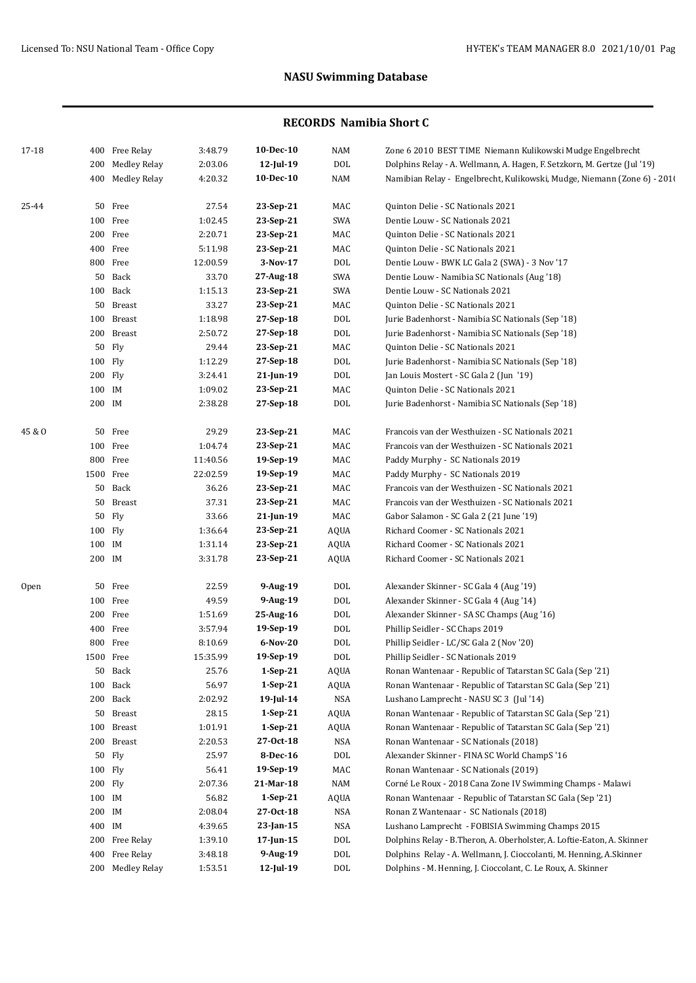| 17-18  |           | 400 Free Relay      | 3:48.79  | $10$ -Dec- $10$ | NAM         | Zone 6 2010 BEST TIME Niemann Kulikowski Mudge Engelbrecht               |
|--------|-----------|---------------------|----------|-----------------|-------------|--------------------------------------------------------------------------|
|        | 200       | <b>Medley Relay</b> | 2:03.06  | 12-Jul-19       | <b>DOL</b>  | Dolphins Relay - A. Wellmann, A. Hagen, F. Setzkorn, M. Gertze (Jul '19) |
|        | 400       | Medley Relay        | 4:20.32  | 10-Dec-10       | <b>NAM</b>  | Namibian Relay - Engelbrecht, Kulikowski, Mudge, Niemann (Zone 6) - 2010 |
| 25-44  |           | 50 Free             | 27.54    | 23-Sep-21       | MAC         | Quinton Delie - SC Nationals 2021                                        |
|        |           | 100 Free            | 1:02.45  | 23-Sep-21       | <b>SWA</b>  | Dentie Louw - SC Nationals 2021                                          |
|        |           | 200 Free            | 2:20.71  | 23-Sep-21       | MAC         | Quinton Delie - SC Nationals 2021                                        |
|        |           | 400 Free            | 5:11.98  | 23-Sep-21       | MAC         | Quinton Delie - SC Nationals 2021                                        |
|        |           | 800 Free            | 12:00.59 | 3-Nov-17        | <b>DOL</b>  | Dentie Louw - BWK LC Gala 2 (SWA) - 3 Nov '17                            |
|        |           | 50 Back             | 33.70    | 27-Aug-18       | SWA         | Dentie Louw - Namibia SC Nationals (Aug '18)                             |
|        |           | 100 Back            | 1:15.13  | 23-Sep-21       | SWA         | Dentie Louw - SC Nationals 2021                                          |
|        |           | 50 Breast           | 33.27    | 23-Sep-21       | MAC         | Quinton Delie - SC Nationals 2021                                        |
|        |           | 100 Breast          | 1:18.98  | 27-Sep-18       | <b>DOL</b>  | Jurie Badenhorst - Namibia SC Nationals (Sep '18)                        |
|        |           | 200 Breast          | 2:50.72  | 27-Sep-18       | <b>DOL</b>  | Jurie Badenhorst - Namibia SC Nationals (Sep '18)                        |
|        | 50        | Fly                 | 29.44    | 23-Sep-21       | MAC         | Quinton Delie - SC Nationals 2021                                        |
|        | 100 Fly   |                     | 1:12.29  | 27-Sep-18       | <b>DOL</b>  | Jurie Badenhorst - Namibia SC Nationals (Sep '18)                        |
|        | 200       | Fly                 | 3:24.41  | 21-Jun-19       | DOL         | Jan Louis Mostert - SC Gala 2 (Jun '19)                                  |
|        | 100 IM    |                     | 1:09.02  | 23-Sep-21       | MAC         | Quinton Delie - SC Nationals 2021                                        |
|        | 200 IM    |                     | 2:38.28  | 27-Sep-18       | DOL         | Jurie Badenhorst - Namibia SC Nationals (Sep '18)                        |
| 45 & O |           | 50 Free             | 29.29    | 23-Sep-21       | MAC         | Francois van der Westhuizen - SC Nationals 2021                          |
|        |           | 100 Free            | 1:04.74  | 23-Sep-21       | MAC         | Francois van der Westhuizen - SC Nationals 2021                          |
|        | 800       | Free                | 11:40.56 | 19-Sep-19       | MAC         | Paddy Murphy - SC Nationals 2019                                         |
|        | 1500 Free |                     | 22:02.59 | 19-Sep-19       | MAC         | Paddy Murphy - SC Nationals 2019                                         |
|        |           | 50 Back             | 36.26    | 23-Sep-21       | MAC         | Francois van der Westhuizen - SC Nationals 2021                          |
|        | 50        | <b>Breast</b>       | 37.31    | 23-Sep-21       | MAC         | Francois van der Westhuizen - SC Nationals 2021                          |
|        | 50        | Fly                 | 33.66    | 21-Jun-19       | MAC         | Gabor Salamon - SC Gala 2 (21 June '19)                                  |
|        | 100 Fly   |                     | 1:36.64  | 23-Sep-21       | <b>AQUA</b> | Richard Coomer - SC Nationals 2021                                       |
|        | 100 IM    |                     | 1:31.14  | 23-Sep-21       | <b>AQUA</b> | Richard Coomer - SC Nationals 2021                                       |
|        | 200 IM    |                     | 3:31.78  | 23-Sep-21       | AQUA        | Richard Coomer - SC Nationals 2021                                       |
| Open   | 50        | Free                | 22.59    | 9-Aug-19        | <b>DOL</b>  | Alexander Skinner - SC Gala 4 (Aug '19)                                  |
|        |           | 100 Free            | 49.59    | 9-Aug-19        | <b>DOL</b>  | Alexander Skinner - SC Gala 4 (Aug '14)                                  |
|        | 200       | Free                | 1:51.69  | 25-Aug-16       | <b>DOL</b>  | Alexander Skinner - SA SC Champs (Aug '16)                               |
|        | 400       | Free                | 3:57.94  | 19-Sep-19       | <b>DOL</b>  | Phillip Seidler - SC Chaps 2019                                          |
|        | 800       | Free                | 8:10.69  | 6-Nov-20        | <b>DOL</b>  | Phillip Seidler - LC/SC Gala 2 (Nov '20)                                 |
|        | 1500 Free |                     | 15:35.99 | 19-Sep-19       | <b>DOL</b>  | Phillip Seidler - SC Nationals 2019                                      |
|        | 50        | Back                | 25.76    | $1-Sep-21$      | AQUA        | Ronan Wantenaar - Republic of Tatarstan SC Gala (Sep '21)                |
|        | 100       | Back                | 56.97    | $1-Sep-21$      | AQUA        | Ronan Wantenaar - Republic of Tatarstan SC Gala (Sep '21)                |
|        | 200       | Back                | 2:02.92  | $19$ -Jul-14    | NSA         | Lushano Lamprecht - NASU SC 3 (Jul '14)                                  |
|        | 50        | Breast              | 28.15    | $1-Sep-21$      | AQUA        | Ronan Wantenaar - Republic of Tatarstan SC Gala (Sep '21)                |
|        | 100       | <b>Breast</b>       | 1:01.91  | $1-Sep-21$      | AQUA        | Ronan Wantenaar - Republic of Tatarstan SC Gala (Sep '21)                |
|        | 200       | Breast              | 2:20.53  | 27-0ct-18       | NSA         | Ronan Wantenaar - SC Nationals (2018)                                    |
|        |           | 50 Fly              | 25.97    | 8-Dec-16        | DOL         | Alexander Skinner - FINA SC World ChampS '16                             |
|        | 100 Fly   |                     | 56.41    | 19-Sep-19       | MAC         | Ronan Wantenaar - SC Nationals (2019)                                    |
|        | 200 Fly   |                     | 2:07.36  | 21-Mar-18       | NAM         | Corné Le Roux - 2018 Cana Zone IV Swimming Champs - Malawi               |
|        | 100 IM    |                     | 56.82    | $1-Sep-21$      | AQUA        | Ronan Wantenaar - Republic of Tatarstan SC Gala (Sep '21)                |
|        | 200 IM    |                     | 2:08.04  | 27-0ct-18       | NSA         | Ronan Z Wantenaar - SC Nationals (2018)                                  |
|        | 400 IM    |                     | 4:39.65  | $23$ -Jan-15    | NSA         | Lushano Lamprecht - FOBISIA Swimming Champs 2015                         |
|        | 200       | Free Relay          | 1:39.10  | 17-Jun-15       | <b>DOL</b>  | Dolphins Relay - B.Theron, A. Oberholster, A. Loftie-Eaton, A. Skinner   |
|        | 400       | Free Relay          | 3:48.18  | 9-Aug-19        | <b>DOL</b>  | Dolphins Relay - A. Wellmann, J. Cioccolanti, M. Henning, A.Skinner      |
|        |           | 200 Medley Relay    | 1:53.51  | 12-Jul-19       | DOL         | Dolphins - M. Henning, J. Cioccolant, C. Le Roux, A. Skinner             |